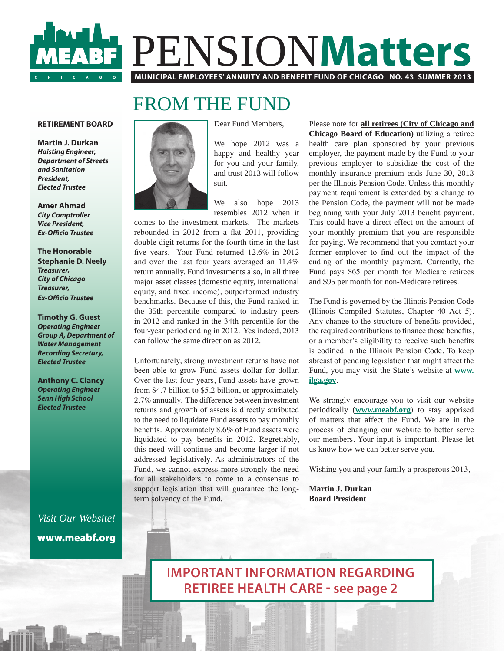# PENSION**Matters MUNICIPAL EMPLOYEES' ANNUITY AND BENEFIT FUND OF CHICAGO NO. 43 SUMMER 2013**

# FROM THE FUND

#### **RETIREMENT BOARD**

**Martin J. Durkan**  *Hoisting Engineer, Department of Streets and Sanitation President, Elected Trustee*

**Amer Ahmad** *City Comptroller Vice President,* **Ex-Officio Trustee** 

**The Honorable Stephanie D. Neely** *Treasurer, City of Chicago Treasurer,*  **Ex-Officio Trustee** 

**Timothy G. Guest** *Operating Engineer Group A, Department of Water Management Recording Secretary, Elected Trustee*

**Anthony C. Clancy** *Operating Engineer Senn High School Elected Trustee*

*Visit Our Website!* www.meabf.org



Dear Fund Members,

We hope 2012 was a happy and healthy year for you and your family, and trust 2013 will follow suit.

We also hope 2013 resembles 2012 when it

comes to the investment markets. The markets rebounded in  $2012$  from a flat  $2011$ , providing double digit returns for the fourth time in the last five years. Your Fund returned 12.6% in 2012 and over the last four years averaged an 11.4% return annually. Fund investments also, in all three major asset classes (domestic equity, international equity, and fixed income), outperformed industry benchmarks. Because of this, the Fund ranked in the 35th percentile compared to industry peers in 2012 and ranked in the 34th percentile for the four-year period ending in 2012. Yes indeed, 2013 can follow the same direction as 2012.

Unfortunately, strong investment returns have not been able to grow Fund assets dollar for dollar. Over the last four years, Fund assets have grown from \$4.7 billion to \$5.2 billion, or approximately 2.7% annually. The difference between investment returns and growth of assets is directly attributed to the need to liquidate Fund assets to pay monthly benefits. Approximately  $8.6\%$  of Fund assets were liquidated to pay benefits in  $2012$ . Regrettably, this need will continue and become larger if not addressed legislatively. As administrators of the Fund, we cannot express more strongly the need for all stakeholders to come to a consensus to support legislation that will guarantee the longterm solvency of the Fund.

Please note for **all retirees (City of Chicago and Chicago Board of Education)** utilizing a retiree health care plan sponsored by your previous employer, the payment made by the Fund to your previous employer to subsidize the cost of the monthly insurance premium ends June 30, 2013 per the Illinois Pension Code. Unless this monthly payment requirement is extended by a change to the Pension Code, the payment will not be made beginning with your July 2013 benefit payment. This could have a direct effect on the amount of your monthly premium that you are responsible for paying. We recommend that you comtact your former employer to find out the impact of the ending of the monthly payment. Currently, the Fund pays \$65 per month for Medicare retirees and \$95 per month for non-Medicare retirees.

The Fund is governed by the Illinois Pension Code (Illinois Compiled Statutes, Chapter 40 Act 5). Any change to the structure of benefits provided, the required contributions to finance those benefits, or a member's eligibility to receive such benefits is codified in the Illinois Pension Code. To keep abreast of pending legislation that might affect the Fund, you may visit the State's website at **www. ilga.gov**.

We strongly encourage you to visit our website periodically (**www.meabf.org**) to stay apprised of matters that affect the Fund. We are in the process of changing our website to better serve our members. Your input is important. Please let us know how we can better serve you.

Wishing you and your family a prosperous 2013,

**Martin J. Durkan Board President**

**IMPORTANT INFORMATION REGARDING RETIREE HEALTH CARE - see page 2**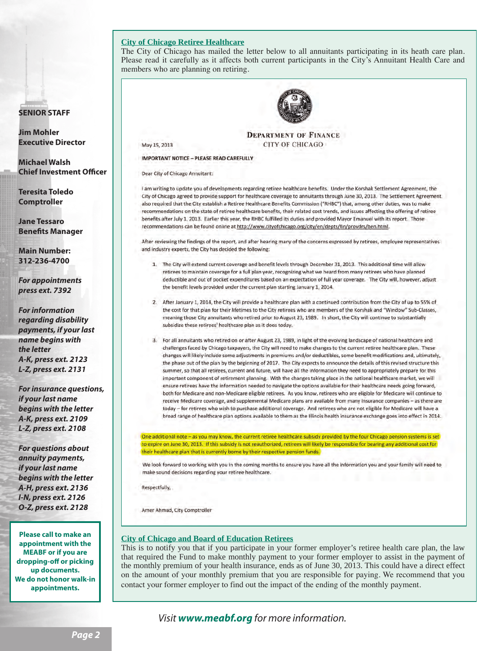#### **City of Chicago Retiree Healthcare**

The City of Chicago has mailed the letter below to all annuitants participating in its heath care plan. Please read it carefully as it affects both current participants in the City's Annuitant Health Care and members who are planning on retiring.

#### **SENIOR STAFF**

**Jim Mohler Executive Director**

**Michael Walsh Chief Investment Officer** 

**Teresita Toledo Comptroller**

**Jane Tessaro Benefits Manager** 

**Main Number: 312-236-4700**

*For appointments press ext. 7392*

*For information regarding disability payments, if your last name begins with the letter A-K, press ext. 2123 L-Z, press ext. 2131*

*For insurance questions, if your last name begins with the letter A-K, press ext. 2109 L-Z, press ext. 2108*

*For questions about annuity payments, if your last name begins with the letter A-H, press ext. 2136 I-N, press ext. 2126 O-Z, press ext. 2128*

**Please call to make an appointment with the MEABF or if you are dropping-off or picking up documents. We do not honor walk-in appointments.**



**DEPARTMENT OF FINANCE CITY OF CHICAGO** 

**IMPORTANT NOTICE - PLEASE READ CAREFULLY** 

Dear City of Chicago Annuitant:

May 15, 2013

I am writing to update you of developments regarding retiree healthcare benefits. Under the Korshak Settlement Agreement, the City of Chicago agreed to provide support for healthcare coverage to annuitants through June 30, 2013. The Settlement Agreement also required that the City establish a Retiree Healthcare Benefits Commission ("RHBC") that, among other duties, was to make recommendations on the state of retiree healthcare benefits, their related cost trends, and issues affecting the offering of retiree benefits after July 1, 2013. Earlier this year, the RHBC fulfilled its duties and provided Mayor Emanuel with its report. Those recommendations can be found online at http://www.cityofchicago.org/city/en/depts/fin/provdrs/ben.html.

After reviewing the findings of the report, and after hearing many of the concerns expressed by retirees, employee representatives and industry experts, the City has decided the following:

- 1. The City will extend current coverage and benefit levels through December 31, 2013. This additional time will allow retirees to maintain coverage for a full plan year, recognizing what we heard from many retirees who have planned deductible and out of pocket expenditures based on an expectation of full year coverage. The City will, however, adjust the benefit levels provided under the current plan starting January 1, 2014.
- 2. After January 1, 2014, the City will provide a healthcare plan with a continued contribution from the City of up to 55% of the cost for that plan for their lifetimes to the City retirees who are members of the Korshak and "Window" Sub-Classes, meaning those City annuitants who retired prior to August 23, 1989. In short, the City will continue to substantially subsidize these retirees' healthcare plan as it does today.
- 3. For all annuitants who retired on or after August 23, 1989, in light of the evolving landscape of national healthcare and challenges faced by Chicago taxpayers, the City will need to make changes to the current retiree healthcare plan. These changes will likely include some adjustments in premiums and/or deductibles, some benefit modifications and, ultimately, the phase out of the plan by the beginning of 2017. The City expects to announce the details of this revised structure this summer, so that all retirees, current and future, will have all the information they need to appropriately prepare for this important component of retirement planning. With the changes taking place in the national healthcare market, we will ensure retirees have the information needed to navigate the options available for their healthcare needs going forward, both for Medicare and non-Medicare eligible retirees. As you know, retirees who are eligible for Medicare will continue to receive Medicare coverage, and supplemental Medicare plans are available from many insurance companies - as there are today - for retirees who wish to purchase additional coverage. And retirees who are not eligible for Medicare will have a broad range of healthcare plan options available to them as the Illinois health insurance exchange goes into effect in 2014.

One additional note - as you may know, the current retiree healthcare subsidy provided by the four Chicago pension systems is set to expire on June 30, 2013. If this subsidy is not reauthorized, retirees will likely be responsible for bearing any additional cost for their healthcare plan that is currently borne by their respective pension funds.

We look forward to working with you in the coming months to ensure you have all the information you and your family will need to make sound decisions regarding your retiree healthcare.

Respectfully.

Amer Ahmad, City Comptroller

#### **City of Chicago and Board of Education Retirees**

This is to notify you that if you participate in your former employer's retiree health care plan, the law that required the Fund to make monthly payment to your former employer to assist in the payment of the monthly premium of your health insurance, ends as of June 30, 2013. This could have a direct effect on the amount of your monthly premium that you are responsible for paying. We recommend that you contact your former employer to find out the impact of the ending of the monthly payment.

*Visit www.meabf.org for more information.*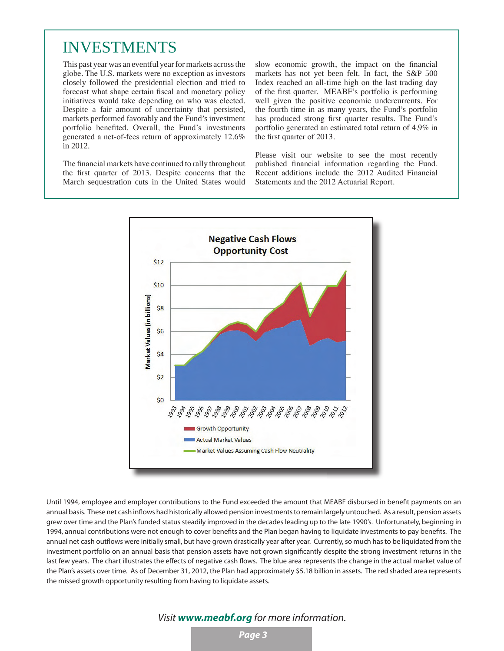# INVESTMENTS

This past year was an eventful year for markets across the globe. The U.S. markets were no exception as investors closely followed the presidential election and tried to forecast what shape certain fiscal and monetary policy initiatives would take depending on who was elected. Despite a fair amount of uncertainty that persisted, markets performed favorably and the Fund's investment portfolio benefited. Overall, the Fund's investments generated a net-of-fees return of approximately 12.6% in 2012.

The financial markets have continued to rally throughout the first quarter of 2013. Despite concerns that the March sequestration cuts in the United States would slow economic growth, the impact on the financial markets has not yet been felt. In fact, the S&P 500 Index reached an all-time high on the last trading day of the first quarter. MEABF's portfolio is performing well given the positive economic undercurrents. For the fourth time in as many years, the Fund's portfolio has produced strong first quarter results. The Fund's portfolio generated an estimated total return of 4.9% in the first quarter of 2013.

Please visit our website to see the most recently published financial information regarding the Fund. Recent additions include the 2012 Audited Financial Statements and the 2012 Actuarial Report.



Until 1994, employee and employer contributions to the Fund exceeded the amount that MEABF disbursed in benefit payments on an annual basis. These net cash inflows had historically allowed pension investments to remain largely untouched. As a result, pension assets grew over time and the Plan's funded status steadily improved in the decades leading up to the late 1990's. Unfortunately, beginning in 1994, annual contributions were not enough to cover benefits and the Plan began having to liguidate investments to pay benefits. The annual net cash outflows were initially small, but have grown drastically year after year. Currently, so much has to be liquidated from the investment portfolio on an annual basis that pension assets have not grown significantly despite the strong investment returns in the last few years. The chart illustrates the effects of negative cash flows. The blue area represents the change in the actual market value of the Plan's assets over time. As of December 31, 2012, the Plan had approximately \$5.18 billion in assets. The red shaded area represents the missed growth opportunity resulting from having to liquidate assets.

## *Visit www.meabf.org for more information.*

*Page 3*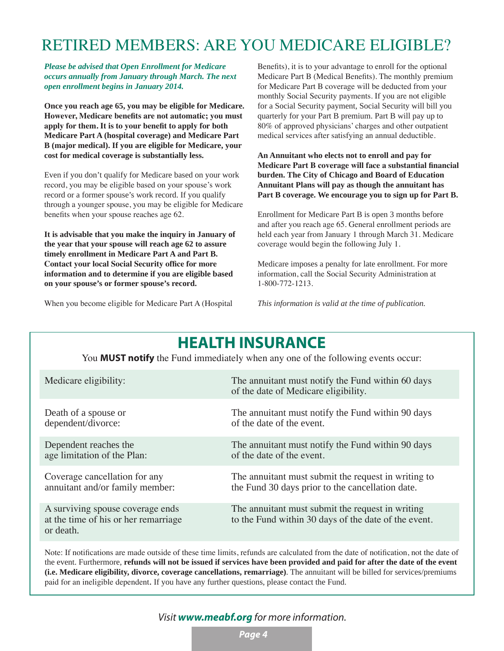# RETIRED MEMBERS: ARE YOU MEDICARE ELIGIBLE?

*Please be advised that Open Enrollment for Medicare occurs annually from January through March. The next open enrollment begins in January 2014.* 

**Once you reach age 65, you may be eligible for Medicare. However, Medicare benefits are not automatic; you must apply for them. It is to your benefit to apply for both Medicare Part A (hospital coverage) and Medicare Part B (major medical). If you are eligible for Medicare, your cost for medical coverage is substantially less.**

Even if you don't qualify for Medicare based on your work record, you may be eligible based on your spouse's work record or a former spouse's work record. If you qualify through a younger spouse, you may be eligible for Medicare benefits when your spouse reaches age 62.

**It is advisable that you make the inquiry in January of the year that your spouse will reach age 62 to assure timely enrollment in Medicare Part A and Part B. Contact your local Social Security office for more information and to determine if you are eligible based on your spouse's or former spouse's record.**

When you become eligible for Medicare Part A (Hospital

Benefits), it is to your advantage to enroll for the optional Medicare Part B (Medical Benefits). The monthly premium for Medicare Part B coverage will be deducted from your monthly Social Security payments. If you are not eligible for a Social Security payment, Social Security will bill you quarterly for your Part B premium. Part B will pay up to 80% of approved physicians' charges and other outpatient medical services after satisfying an annual deductible.

**An Annuitant who elects not to enroll and pay for Medicare Part B coverage will face a substantial financial burden. The City of Chicago and Board of Education Annuitant Plans will pay as though the annuitant has Part B coverage. We encourage you to sign up for Part B.**

Enrollment for Medicare Part B is open 3 months before and after you reach age 65. General enrollment periods are held each year from January 1 through March 31. Medicare coverage would begin the following July 1.

Medicare imposes a penalty for late enrollment. For more information, call the Social Security Administration at 1-800-772-1213.

*This information is valid at the time of publication.*

| <b>HEALTH INSURANCE</b><br>You <b>MUST notify</b> the Fund immediately when any one of the following events occur: |                                                                                                          |  |  |
|--------------------------------------------------------------------------------------------------------------------|----------------------------------------------------------------------------------------------------------|--|--|
| Medicare eligibility:                                                                                              | The annuitant must notify the Fund within 60 days<br>of the date of Medicare eligibility.                |  |  |
| Death of a spouse or                                                                                               | The annuitant must notify the Fund within 90 days                                                        |  |  |
| dependent/divorce:                                                                                                 | of the date of the event.                                                                                |  |  |
| Dependent reaches the                                                                                              | The annuitant must notify the Fund within 90 days                                                        |  |  |
| age limitation of the Plan:                                                                                        | of the date of the event.                                                                                |  |  |
| Coverage cancellation for any                                                                                      | The annuitant must submit the request in writing to                                                      |  |  |
| annuitant and/or family member:                                                                                    | the Fund 30 days prior to the cancellation date.                                                         |  |  |
| A surviving spouse coverage ends<br>at the time of his or her remarriage<br>or death.                              | The annuitant must submit the request in writing<br>to the Fund within 30 days of the date of the event. |  |  |

#### Note: If notifications are made outside of these time limits, refunds are calculated from the date of notification, not the date of the event. Furthermore, **refunds will not be issued if services have been provided and paid for after the date of the event (i.e. Medicare eligibility, divorce, coverage cancellations, remarriage)**. The annuitant will be billed for services/premiums paid for an ineligible dependent. If you have any further questions, please contact the Fund.

## *Visit www.meabf.org for more information.*

*Page 4*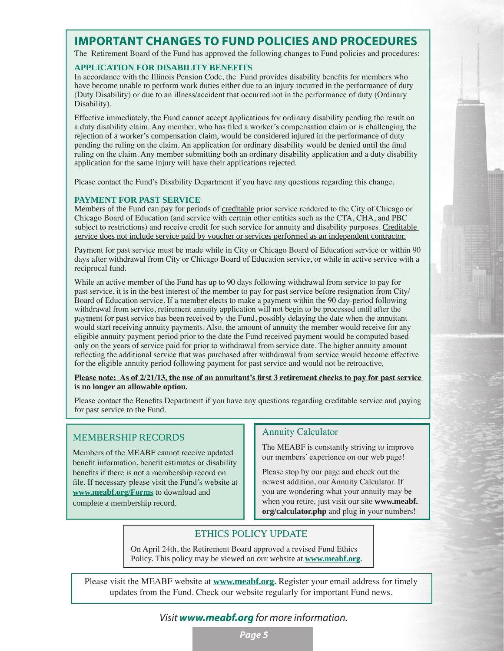# **IMPORTANT CHANGES TO FUND POLICIES AND PROCEDURES**

The Retirement Board of the Fund has approved the following changes to Fund policies and procedures:

#### **APPLICATION FOR DISABILITY BENEFITS**

In accordance with the Illinois Pension Code, the Fund provides disability benefits for members who have become unable to perform work duties either due to an injury incurred in the performance of duty (Duty Disability) or due to an illness/accident that occurred not in the performance of duty (Ordinary Disability).

Effective immediately, the Fund cannot accept applications for ordinary disability pending the result on a duty disability claim. Any member, who has filed a worker's compensation claim or is challenging the rejection of a worker's compensation claim, would be considered injured in the performance of duty pending the ruling on the claim. An application for ordinary disability would be denied until the final ruling on the claim. Any member submitting both an ordinary disability application and a duty disability application for the same injury will have their applications rejected.

Please contact the Fund's Disability Department if you have any questions regarding this change.

### **PAYMENT FOR PAST SERVICE**

Members of the Fund can pay for periods of creditable prior service rendered to the City of Chicago or Chicago Board of Education (and service with certain other entities such as the CTA, CHA, and PBC subject to restrictions) and receive credit for such service for annuity and disability purposes. Creditable service does not include service paid by voucher or services performed as an independent contractor.

Payment for past service must be made while in City or Chicago Board of Education service or within 90 days after withdrawal from City or Chicago Board of Education service, or while in active service with a reciprocal fund.

While an active member of the Fund has up to 90 days following withdrawal from service to pay for past service, it is in the best interest of the member to pay for past service before resignation from City/ Board of Education service. If a member elects to make a payment within the 90 day-period following withdrawal from service, retirement annuity application will not begin to be processed until after the payment for past service has been received by the Fund, possibly delaying the date when the annuitant would start receiving annuity payments. Also, the amount of annuity the member would receive for any eligible annuity payment period prior to the date the Fund received payment would be computed based only on the years of service paid for prior to withdrawal from service date. The higher annuity amount reflecting the additional service that was purchased after withdrawal from service would become effective for the eligible annuity period following payment for past service and would not be retroactive.

**Please note: As of 2/21/13, the use of an annuitant's first 3 retirement checks to pay for past service is no longer an allowable option.**

Please contact the Benefits Department if you have any questions regarding creditable service and paying for past service to the Fund.

## MEMBERSHIP RECORDS

Members of the MEABF cannot receive updated benefit information, benefit estimates or disability benefits if there is not a membership record on file. If necessary please visit the Fund's website at **www.meabf.org/Forms** to download and complete a membership record.

### Annuity Calculator

The MEABF is constantly striving to improve our members' experience on our web page!

Please stop by our page and check out the newest addition, our Annuity Calculator. If you are wondering what your annuity may be when you retire, just visit our site **www.meabf. org/calculator.php** and plug in your numbers!

## ETHICS POLICY UPDATE

On April 24th, the Retirement Board approved a revised Fund Ethics Policy. This policy may be viewed on our website at **www.meabf.org***.*

Please visit the MEABF website at **www.meabf.org.** Register your email address for timely updates from the Fund. Check our website regularly for important Fund news.

# *Visit www.meabf.org for more information.*

*Page 5*